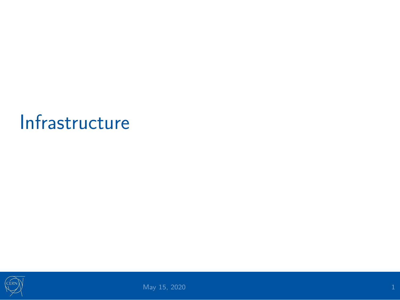### <span id="page-0-0"></span>[Infrastructure](#page-0-0)

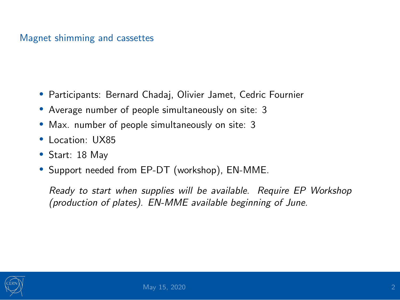### Magnet shimming and cassettes

- Participants: Bernard Chadaj, Olivier Jamet, Cedric Fournier
- Average number of people simultaneously on site: 3
- Max. number of people simultaneously on site: 3
- Location: UX85
- Start: 18 May
- Support needed from EP-DT (workshop), EN-MME.

Ready to start when supplies will be available. Require EP Workshop (production of plates). EN-MME available beginning of June.

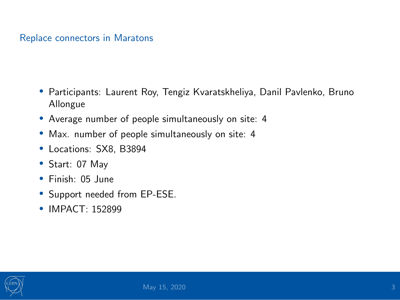### Replace connectors in Maratons

- Participants: Laurent Roy, Tengiz Kvaratskheliya, Danil Pavlenko, Bruno Allongue
- Average number of people simultaneously on site: 4
- Max. number of people simultaneously on site: 4
- Locations: SX8, B3894
- Start: 07 May
- Finish: 05 June
- Support needed from EP-ESE.
- IMPACT: 152899

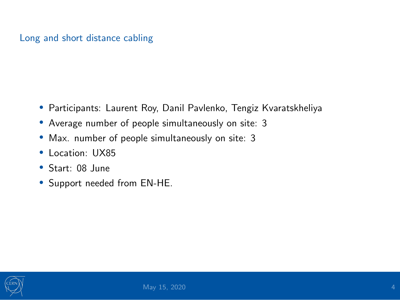### Long and short distance cabling

- Participants: Laurent Roy, Danil Pavlenko, Tengiz Kvaratskheliya
- Average number of people simultaneously on site: 3
- Max. number of people simultaneously on site: 3
- Location: UX85
- Start: 08 June
- Support needed from EN-HE.

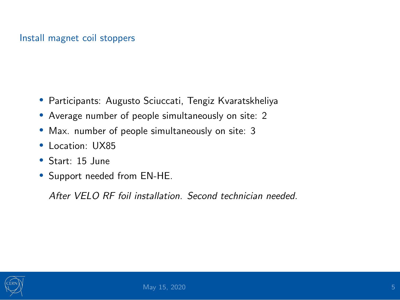### Install magnet coil stoppers

- Participants: Augusto Sciuccati, Tengiz Kvaratskheliya
- Average number of people simultaneously on site: 2
- Max. number of people simultaneously on site: 3
- Location: UX85
- Start: 15 June
- Support needed from EN-HE.

After VELO RF foil installation. Second technician needed.

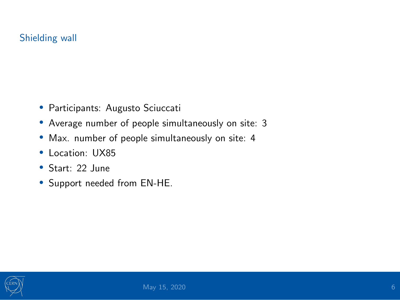### Shielding wall

- Participants: Augusto Sciuccati
- Average number of people simultaneously on site: 3
- Max. number of people simultaneously on site: 4
- Location: UX85
- Start: 22 June
- Support needed from EN-HE.

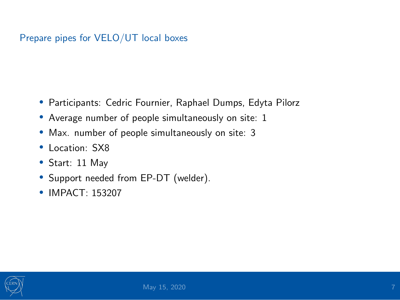### Prepare pipes for VELO/UT local boxes

- Participants: Cedric Fournier, Raphael Dumps, Edyta Pilorz
- Average number of people simultaneously on site: 1
- Max. number of people simultaneously on site: 3
- Location: SX8
- Start: 11 May
- Support needed from EP-DT (welder).
- **IMPACT: 153207**

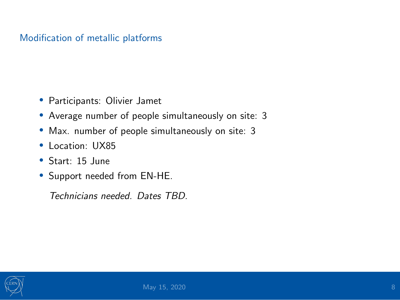### Modification of metallic platforms

- Participants: Olivier Jamet
- Average number of people simultaneously on site: 3
- Max. number of people simultaneously on site: 3
- Location: UX85
- Start: 15 June
- Support needed from EN-HE.

Technicians needed. Dates TBD.

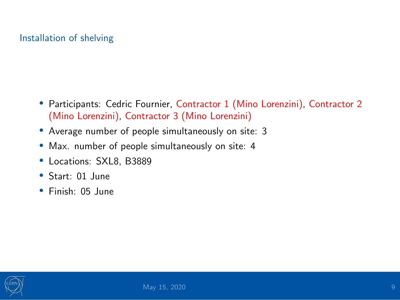### Installation of shelving

- Participants: Cedric Fournier, Contractor 1 (Mino Lorenzini), Contractor 2 (Mino Lorenzini), Contractor 3 (Mino Lorenzini)
- Average number of people simultaneously on site: 3
- Max. number of people simultaneously on site: 4
- Locations: SXL8, B3889
- Start: 01 June
- Finish: 05 June

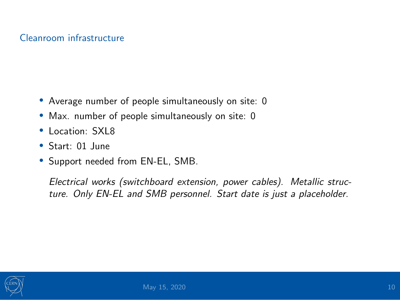### Cleanroom infrastructure

- Average number of people simultaneously on site: 0
- Max. number of people simultaneously on site: 0
- Location: SXL8
- Start: 01 June
- Support needed from EN-EL, SMB.

Electrical works (switchboard extension, power cables). Metallic structure. Only EN-EL and SMB personnel. Start date is just a placeholder.

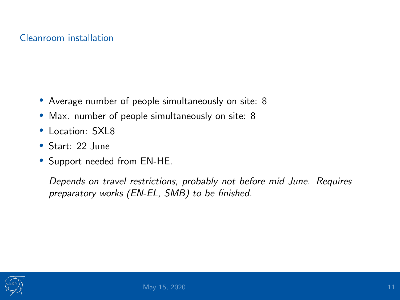### Cleanroom installation

- Average number of people simultaneously on site: 8
- Max. number of people simultaneously on site: 8
- Location: SXL8
- Start: 22 June
- Support needed from EN-HE.

Depends on travel restrictions, probably not before mid June. Requires preparatory works (EN-EL, SMB) to be finished.

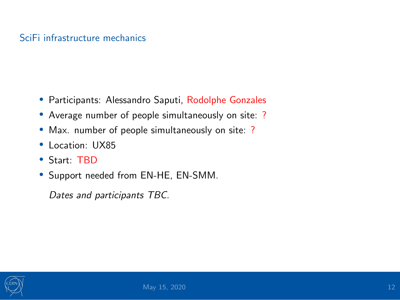### SciFi infrastructure mechanics

- Participants: Alessandro Saputi, Rodolphe Gonzales
- Average number of people simultaneously on site: ?
- Max. number of people simultaneously on site: ?
- Location: UX85
- Start: TBD
- Support needed from EN-HE, EN-SMM.

Dates and participants TBC.

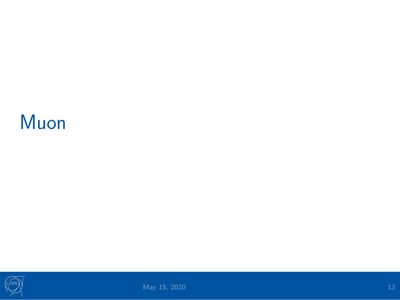### <span id="page-12-0"></span>[Muon](#page-12-0)

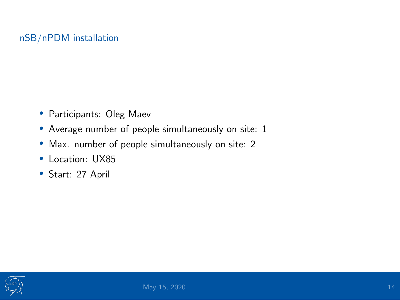### nSB/nPDM installation

- Participants: Oleg Maev
- Average number of people simultaneously on site: 1
- Max. number of people simultaneously on site: 2
- Location: UX85
- Start: 27 April

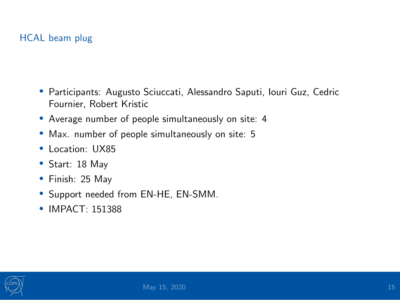### HCAL beam plug

- Participants: Augusto Sciuccati, Alessandro Saputi, Iouri Guz, Cedric Fournier, Robert Kristic
- Average number of people simultaneously on site: 4
- Max. number of people simultaneously on site: 5
- Location: UX85
- Start: 18 May
- Finish: 25 May
- Support needed from EN-HE, EN-SMM.
- IMPACT: 151388

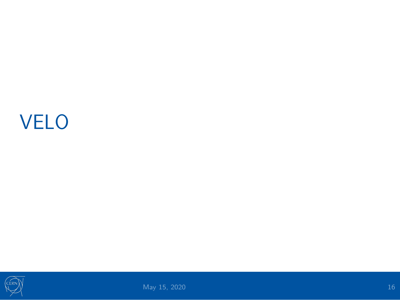# <span id="page-15-0"></span>[VELO](#page-15-0)

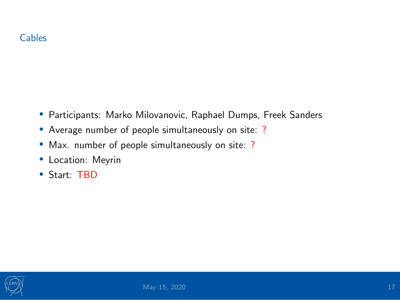- Participants: Marko Milovanovic, Raphael Dumps, Freek Sanders
- Average number of people simultaneously on site: ?
- Max. number of people simultaneously on site: ?
- Location: Meyrin
- Start: TBD

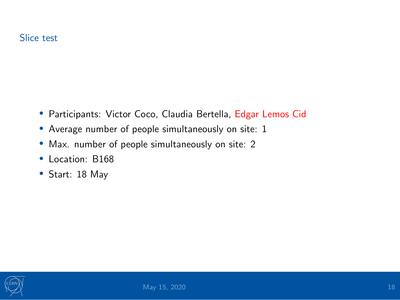- Participants: Victor Coco, Claudia Bertella, Edgar Lemos Cid
- Average number of people simultaneously on site: 1
- Max. number of people simultaneously on site: 2
- Location: B168
- Start: 18 May

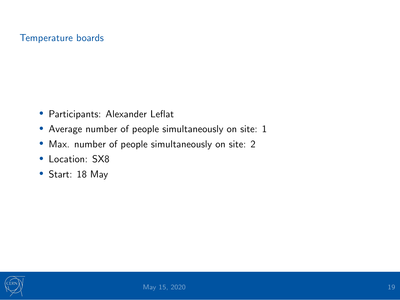#### Temperature boards

- Participants: Alexander Leflat
- Average number of people simultaneously on site: 1
- Max. number of people simultaneously on site: 2
- Location: SX8
- Start: 18 May

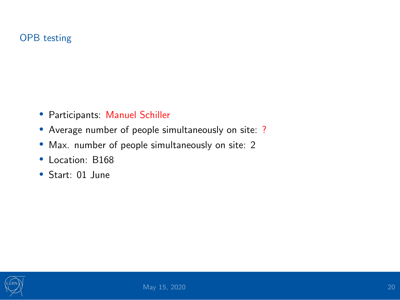### OPB testing

- Participants: Manuel Schiller
- Average number of people simultaneously on site: ?
- Max. number of people simultaneously on site: 2
- Location: B168
- Start: 01 June

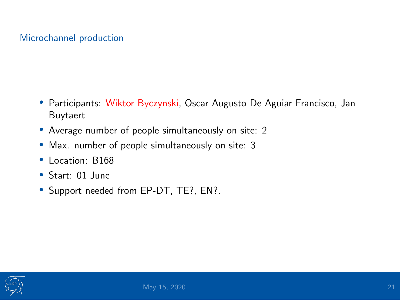### Microchannel production

- Participants: Wiktor Byczynski, Oscar Augusto De Aguiar Francisco, Jan Buytaert
- Average number of people simultaneously on site: 2
- Max. number of people simultaneously on site: 3
- Location: B168
- Start: 01 June
- Support needed from EP-DT, TE?, EN?.

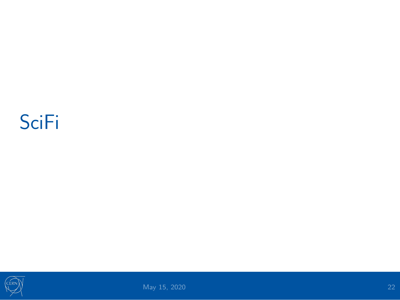## <span id="page-21-0"></span>**[SciFi](#page-21-0)**

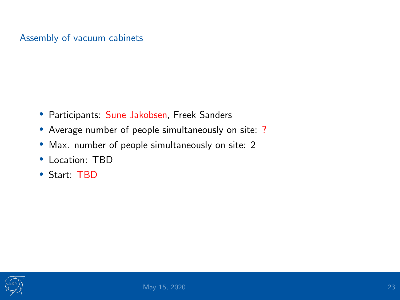### Assembly of vacuum cabinets

- Participants: Sune Jakobsen, Freek Sanders
- Average number of people simultaneously on site: ?
- Max. number of people simultaneously on site: 2
- Location: TBD
- Start: TBD

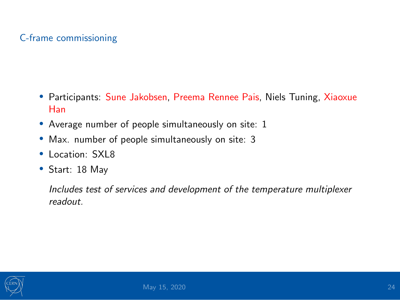### C-frame commissioning

- Participants: Sune Jakobsen, Preema Rennee Pais, Niels Tuning, Xiaoxue Han
- Average number of people simultaneously on site: 1
- Max. number of people simultaneously on site: 3
- Location: SXL8
- Start: 18 May

Includes test of services and development of the temperature multiplexer readout.

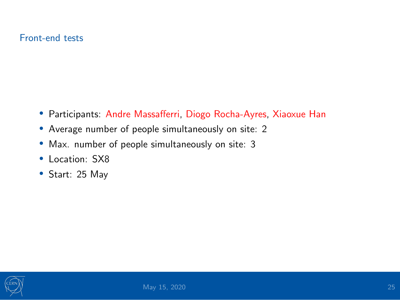### Front-end tests

- Participants: Andre Massafferri, Diogo Rocha-Ayres, Xiaoxue Han
- Average number of people simultaneously on site: 2
- Max. number of people simultaneously on site: 3
- Location: SX8
- Start: 25 May

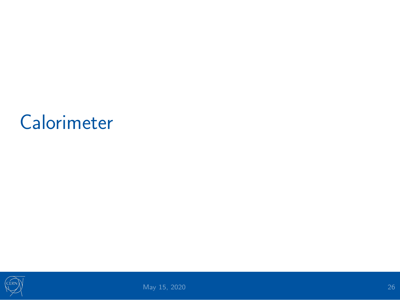### <span id="page-25-0"></span>**[Calorimeter](#page-25-0)**

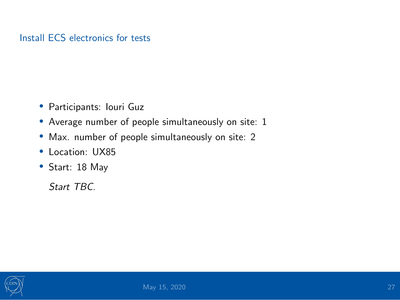### Install ECS electronics for tests

- Participants: Iouri Guz
- Average number of people simultaneously on site: 1
- Max. number of people simultaneously on site: 2
- Location: UX85
- Start: 18 May

Start TBC.

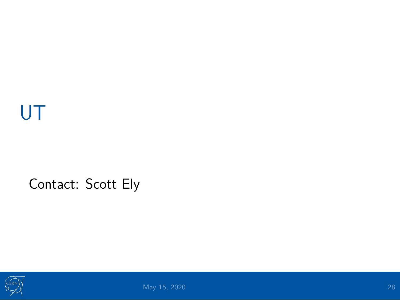# <span id="page-27-0"></span>[UT](#page-27-0)

### Contact: Scott Ely

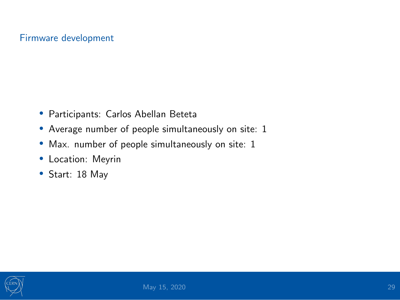### Firmware development

- Participants: Carlos Abellan Beteta
- Average number of people simultaneously on site: 1
- Max. number of people simultaneously on site: 1
- Location: Meyrin
- Start: 18 May

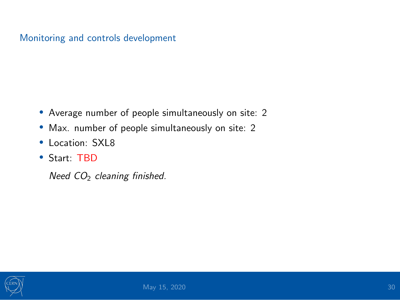### Monitoring and controls development

- Average number of people simultaneously on site: 2
- Max. number of people simultaneously on site: 2
- Location: SXL8
- Start: TBD

Need  $CO<sub>2</sub>$  cleaning finished.

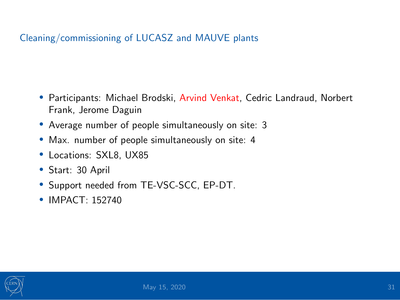### Cleaning/commissioning of LUCASZ and MAUVE plants

- Participants: Michael Brodski, Arvind Venkat, Cedric Landraud, Norbert Frank, Jerome Daguin
- Average number of people simultaneously on site: 3
- Max. number of people simultaneously on site: 4
- Locations: SXL8, UX85
- Start: 30 April
- Support needed from TE-VSC-SCC, EP-DT.
- **IMPACT: 152740**

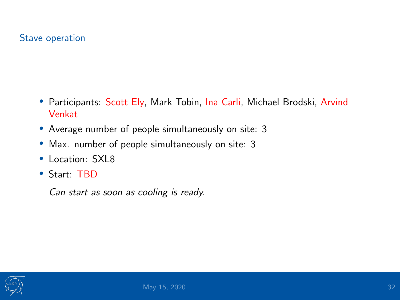### Stave operation

- Participants: Scott Ely, Mark Tobin, Ina Carli, Michael Brodski, Arvind Venkat
- Average number of people simultaneously on site: 3
- Max. number of people simultaneously on site: 3
- Location: SXL8
- Start: TBD

Can start as soon as cooling is ready.

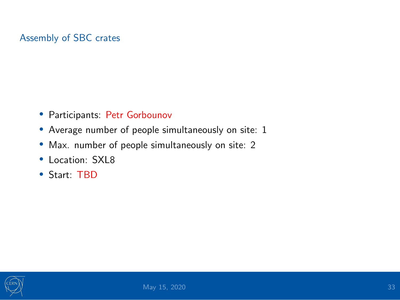### Assembly of SBC crates

- Participants: Petr Gorbounov
- Average number of people simultaneously on site: 1
- Max. number of people simultaneously on site: 2
- Location: SXL8
- Start: TBD

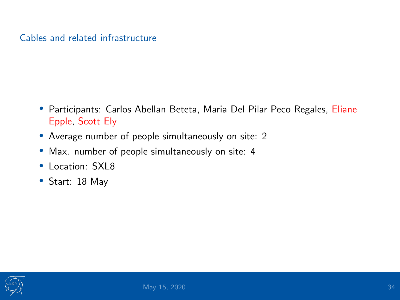### Cables and related infrastructure

- Participants: Carlos Abellan Beteta, Maria Del Pilar Peco Regales, Eliane Epple, Scott Ely
- Average number of people simultaneously on site: 2
- Max. number of people simultaneously on site: 4
- Location: SXL8
- Start: 18 May

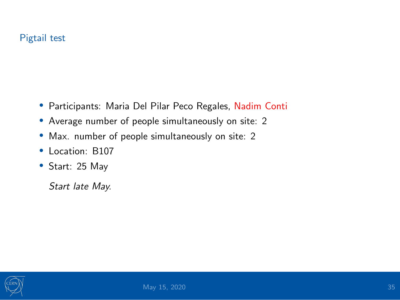### Pigtail test

- Participants: Maria Del Pilar Peco Regales, Nadim Conti
- Average number of people simultaneously on site: 2
- Max. number of people simultaneously on site: 2
- Location: B107
- Start: 25 May

Start late May.

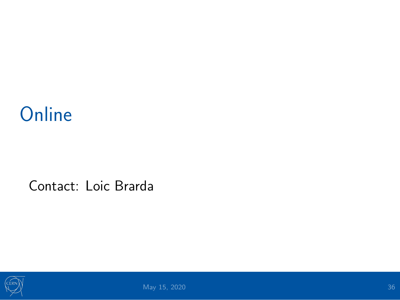## <span id="page-35-0"></span>**[Online](#page-35-0)**

### Contact: Loic Brarda

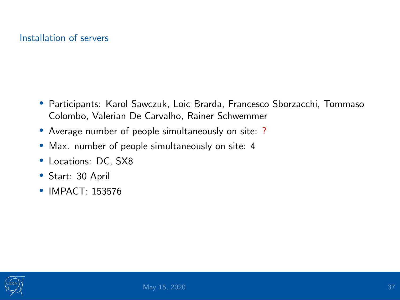### Installation of servers

- Participants: Karol Sawczuk, Loic Brarda, Francesco Sborzacchi, Tommaso Colombo, Valerian De Carvalho, Rainer Schwemmer
- Average number of people simultaneously on site: ?
- Max. number of people simultaneously on site: 4
- Locations: DC, SX8
- Start: 30 April
- **IMPACT: 153576**

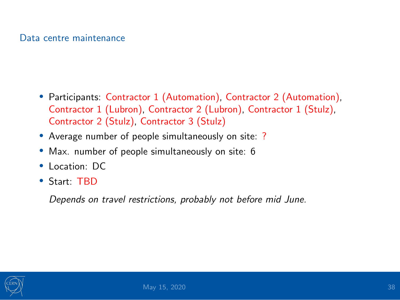#### Data centre maintenance

- Participants: Contractor 1 (Automation), Contractor 2 (Automation), Contractor 1 (Lubron), Contractor 2 (Lubron), Contractor 1 (Stulz), Contractor 2 (Stulz), Contractor 3 (Stulz)
- Average number of people simultaneously on site: ?
- Max. number of people simultaneously on site: 6
- Location: DC
- Start: TBD

Depends on travel restrictions, probably not before mid June.

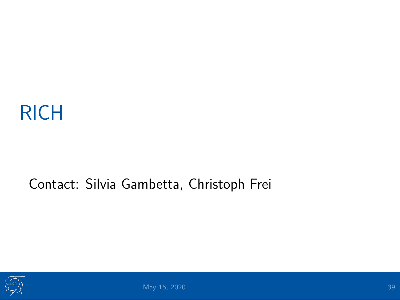## <span id="page-38-0"></span>[RICH](#page-38-0)

### Contact: Silvia Gambetta, Christoph Frei

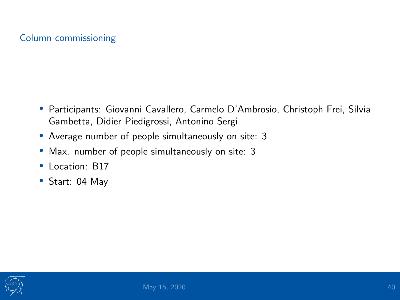### Column commissioning

- Participants: Giovanni Cavallero, Carmelo D'Ambrosio, Christoph Frei, Silvia Gambetta, Didier Piedigrossi, Antonino Sergi
- Average number of people simultaneously on site: 3
- Max. number of people simultaneously on site: 3
- Location: B17
- Start: 04 May